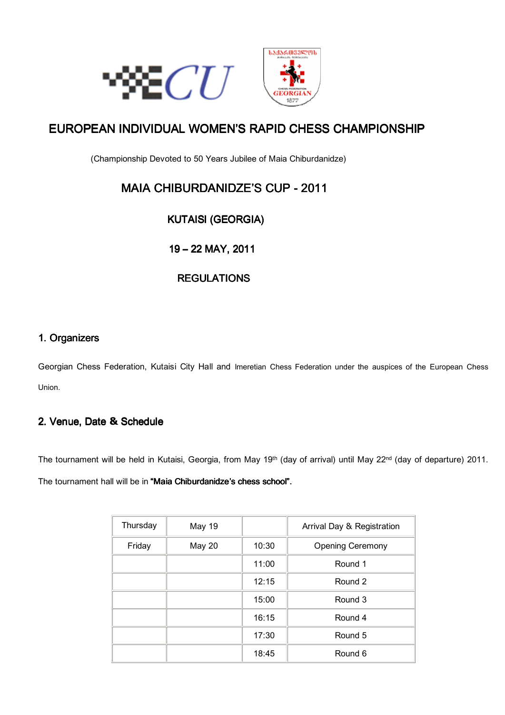



# EUROPEAN INDIVIDUAL WOMEN'S RAPID CHESS CHAMPIONSHIP

(Championship Devoted to 50 Years Jubilee of Maia Chiburdanidze)

# MAIA CHIBURDANIDZE'S CUP - 2011

## KUTAISI KUTAISI(GEORGIA) (GEORGIA) (GEORGIA)

19 19–22 MAY, 2011

## **REGULATIONS**

### 1. Organizers

Georgian Chess Federation, Kutaisi City Hall and Imeretian Chess Federation under the auspices of the European Chess Union.

### 2. Venue, Date & Schedule

The tournament will be held in Kutaisi, Georgia, from May 19<sup>th</sup> (day of arrival) until May 22<sup>nd</sup> (day of departure) 2011. The tournament hall will be in "Maia Chiburdanidze's chess school".

| Thursday | <b>May 19</b> |       | Arrival Day & Registration |
|----------|---------------|-------|----------------------------|
| Friday   | May 20        | 10:30 | <b>Opening Ceremony</b>    |
|          |               | 11:00 | Round 1                    |
|          |               | 12:15 | Round 2                    |
|          |               | 15:00 | Round 3                    |
|          |               | 16:15 | Round 4                    |
|          |               | 17:30 | Round 5                    |
|          |               | 18:45 | Round 6                    |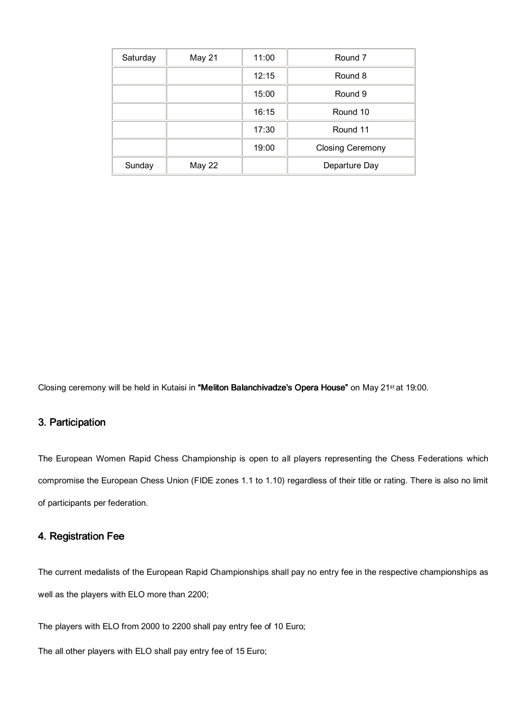| Saturday | May 21 | 11:00 | Round 7                 |
|----------|--------|-------|-------------------------|
|          |        | 12:15 | Round 8                 |
|          |        | 15:00 | Round 9                 |
|          |        | 16:15 | Round 10                |
|          |        | 17:30 | Round 11                |
|          |        | 19:00 | <b>Closing Ceremony</b> |
| Sunday   | May 22 |       | Departure Day           |

Closing ceremony will be held in Kutaisi in "Meliton Balanchivadze's Opera House" on May 21<sup>st</sup> at 19:00.

#### 3. Participation

The European Women Rapid Chess Championship is open to all players representing the Chess Federations which compromise the European Chess Union (FIDE zones 1.1 to 1.10) regardless of their title or rating. There is also no limit of participants per federation.

#### 4. Registration Fee

The current medalists of the European Rapid Championships shall pay no entry fee in the respective championships as well as the players with ELO more than 2200;

The players with ELO from 2000 to 2200 shall pay entry fee of 10 Euro;

The all other players with ELO shall pay entry fee of 15 Euro;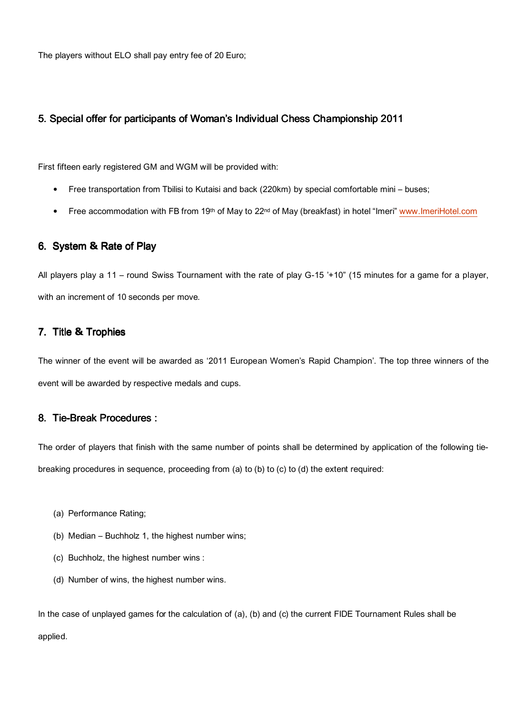The players without ELO shall pay entry fee of 20 Euro;

#### 5. Special offer for participants of Woman's Individual Chess Championship 2011

First fifteen early registered GM and WGM will be provided with:

- Free transportation from Tbilisi to Kutaisi and back (220km) by special comfortable mini buses;
- Free accommodation with FB from 19<sup>th</sup> of May to 22<sup>nd</sup> of May (breakfast) in hotel "Imeri" www.ImeriHotel.com

#### 6. System & Rate of Play

All players play a 11 – round Swiss Tournament with the rate of play G-15 '+10" (15 minutes for a game for a player, with an increment of 10 seconds per move.

#### 7. Title & Trophies

The winner of the event will be awarded as '2011 European Women's Rapid Champion'. The top three winners of the event will be awarded by respective medals and cups.

#### 8. Tie-Break Procedures :

The order of players that finish with the same number of points shall be determined by application of the following tiebreaking procedures in sequence, proceeding from (a) to (b) to (c) to (d) the extent required:

- (a) Performance Rating;
- (b) Median Buchholz 1, the highest number wins;
- (c) Buchholz, the highest number wins :
- (d) Number of wins, the highest number wins.

In the case of unplayed games for the calculation of (a), (b) and (c) the current FIDE Tournament Rules shall be applied.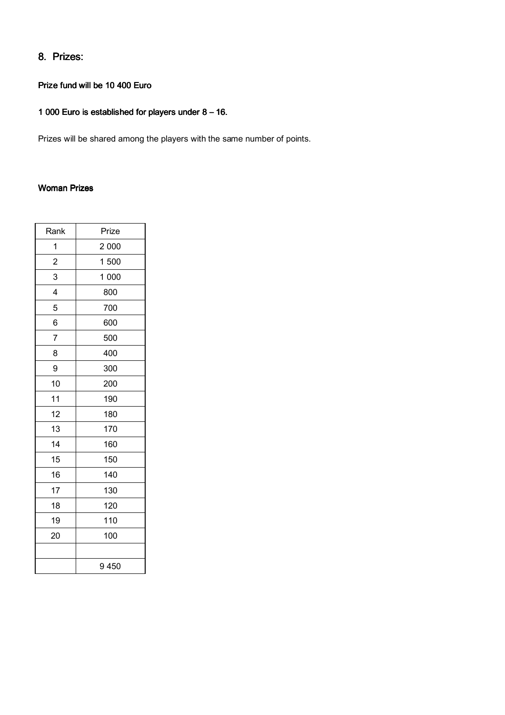## 8. Prizes:

#### Prize fund will be 10 400 Euro

## 1 000 Euro is established for players under  $8 - 16$ .

Prizes will be shared among the players with the same number of points.

#### **Woman Prizes**

| Rank                    | Prize |
|-------------------------|-------|
| 1                       | 2 000 |
| $\overline{c}$          | 1 500 |
| 3                       | 1 000 |
| $\overline{\mathbf{4}}$ | 800   |
| 5                       | 700   |
| 6                       | 600   |
| 7                       | 500   |
| 8                       | 400   |
| 9                       | 300   |
| 10                      | 200   |
| 11                      | 190   |
| 12                      | 180   |
| 13                      | 170   |
| 14                      | 160   |
| 15                      | 150   |
| 16                      | 140   |
| 17                      | 130   |
| 18                      | 120   |
| 19                      | 110   |
| 20                      | 100   |
|                         |       |
|                         | 9450  |